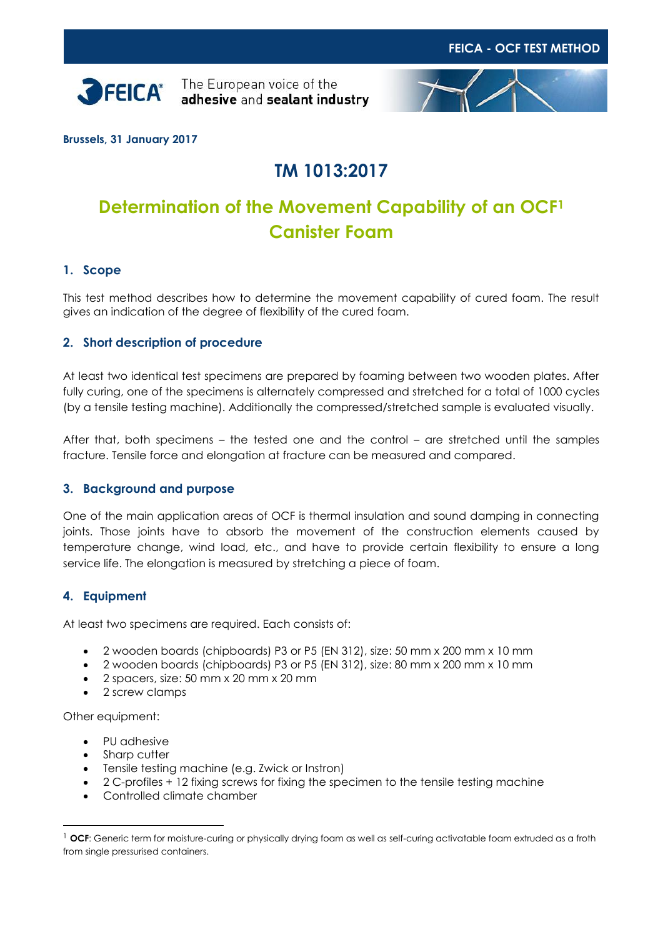



**Brussels, 31 January 2017**

# **TM 1013:2017**

# **Determination of the Movement Capability of an OCF<sup>1</sup> Canister Foam**

## **1. Scope**

This test method describes how to determine the movement capability of cured foam. The result gives an indication of the degree of flexibility of the cured foam.

### **2. Short description of procedure**

At least two identical test specimens are prepared by foaming between two wooden plates. After fully curing, one of the specimens is alternately compressed and stretched for a total of 1000 cycles (by a tensile testing machine). Additionally the compressed/stretched sample is evaluated visually.

After that, both specimens – the tested one and the control – are stretched until the samples fracture. Tensile force and elongation at fracture can be measured and compared.

### **3. Background and purpose**

One of the main application areas of OCF is thermal insulation and sound damping in connecting joints. Those joints have to absorb the movement of the construction elements caused by temperature change, wind load, etc., and have to provide certain flexibility to ensure a long service life. The elongation is measured by stretching a piece of foam.

### **4. Equipment**

At least two specimens are required. Each consists of:

- 2 wooden boards (chipboards) P3 or P5 (EN 312), size: 50 mm x 200 mm x 10 mm
- 2 wooden boards (chipboards) P3 or P5 (EN 312), size: 80 mm x 200 mm x 10 mm
- 2 spacers, size: 50 mm x 20 mm x 20 mm
- 2 screw clamps

Other equipment:

 $\overline{a}$ 

- PU adhesive
- Sharp cutter
- Tensile testing machine (e.g. Zwick or Instron)
- 2 C-profiles + 12 fixing screws for fixing the specimen to the tensile testing machine
- Controlled climate chamber

<sup>&</sup>lt;sup>1</sup> OCF: Generic term for moisture-curing or physically drying foam as well as self-curing activatable foam extruded as a froth from single pressurised containers.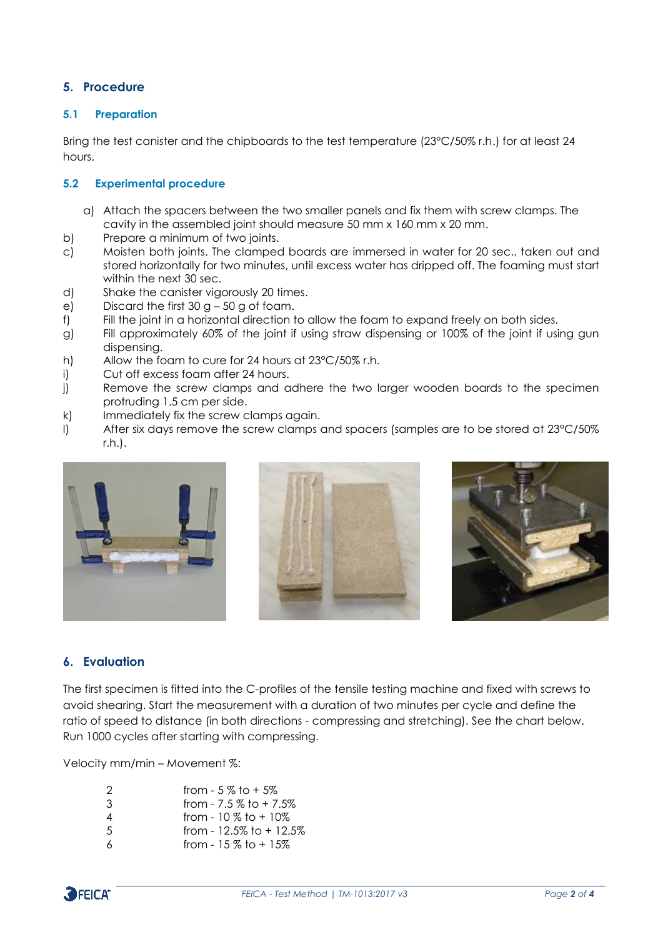## **5. Procedure**

#### **5.1 Preparation**

Bring the test canister and the chipboards to the test temperature (23°C/50% r.h.) for at least 24 hours.

#### **5.2 Experimental procedure**

- a) Attach the spacers between the two smaller panels and fix them with screw clamps. The cavity in the assembled joint should measure 50 mm x 160 mm x 20 mm.
- b) Prepare a minimum of two joints.
- c) Moisten both joints. The clamped boards are immersed in water for 20 sec., taken out and stored horizontally for two minutes, until excess water has dripped off. The foaming must start within the next 30 sec.
- d) Shake the canister vigorously 20 times.
- e) Discard the first  $30 g 50 g$  of foam.
- f) Fill the joint in a horizontal direction to allow the foam to expand freely on both sides.
- g) Fill approximately 60% of the joint if using straw dispensing or 100% of the joint if using gun dispensing.
- h) Allow the foam to cure for 24 hours at 23°C/50% r.h.
- i) Cut off excess foam after 24 hours.
- j) Remove the screw clamps and adhere the two larger wooden boards to the specimen protruding 1.5 cm per side.
- k) Immediately fix the screw clamps again.
- l) After six days remove the screw clamps and spacers (samples are to be stored at 23°C/50% r.h.).







## **6. Evaluation**

The first specimen is fitted into the C-profiles of the tensile testing machine and fixed with screws to avoid shearing. Start the measurement with a duration of two minutes per cycle and define the ratio of speed to distance (in both directions - compressing and stretching). See the chart below. Run 1000 cycles after starting with compressing.

Velocity mm/min – Movement %:

| 2  | from $-5\%$ to $+5\%$     |
|----|---------------------------|
| 3  | from $-7.5\%$ to $+7.5\%$ |
| 4  | from - $10\%$ to + $10\%$ |
| -5 | from - 12.5% to $+$ 12.5% |
|    | from $-15$ % to $+15$ %.  |

from -  $15\%$  to +  $15\%$ 

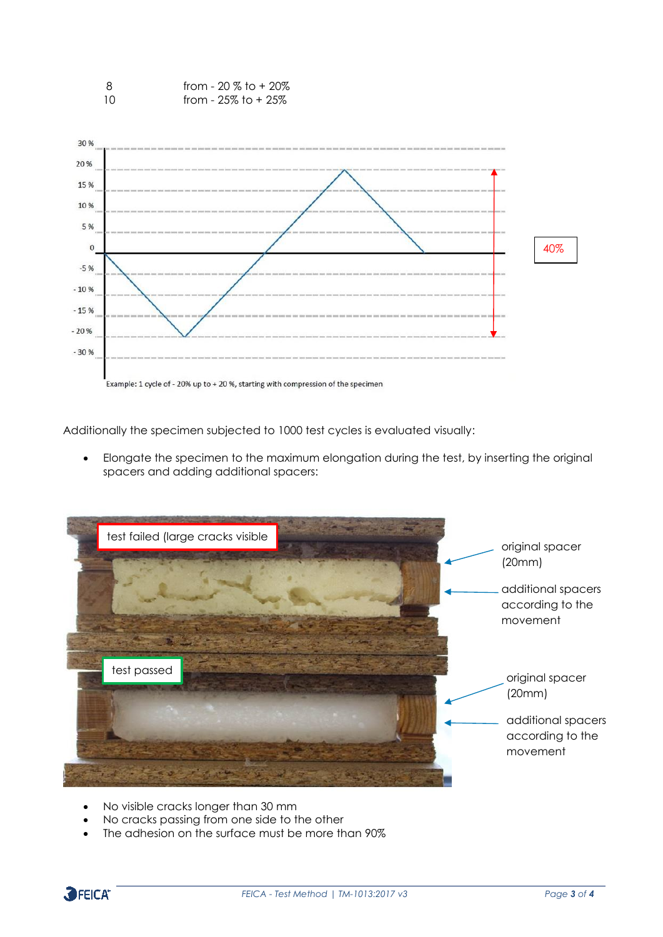

Additionally the specimen subjected to 1000 test cycles is evaluated visually:

• Elongate the specimen to the maximum elongation during the test, by inserting the original spacers and adding additional spacers:



- No visible cracks longer than 30 mm
- No cracks passing from one side to the other
- The adhesion on the surface must be more than 90%